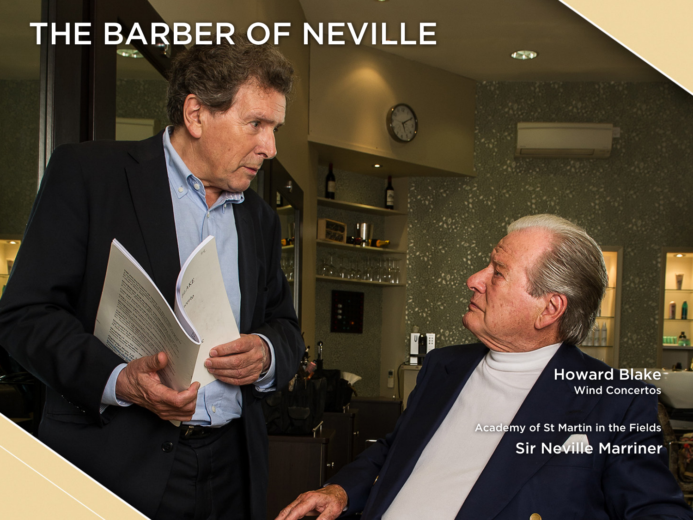## THE BARBER OF NEVILLE

Wind Concertos Howard Blake

Sir Neville Marriner Academy of St Martin in the Fields

 $4.7.9$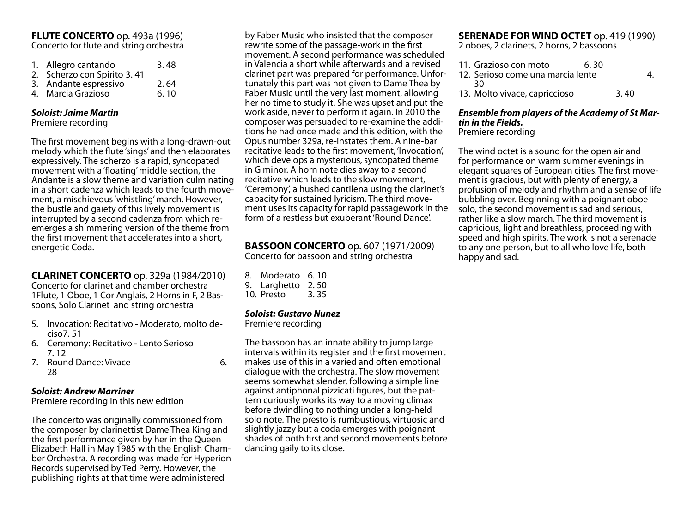#### **FLUTE CONCERTO** op. 493a (1996) Concerto for flute and string orchestra

| 1. Allegro cantando         | 3.48 |
|-----------------------------|------|
| 2. Scherzo con Spirito 3.41 |      |
| 3. Andante espressivo       | 2.64 |
| 4. Marcia Grazioso          | 6.10 |

#### *Soloist: Jaime Martin*

Premiere recording

The first movement begins with a long-drawn-out melody which the flute 'sings' and then elaborates expressively. The scherzo is a rapid, syncopated movement with a 'floating' middle section, the Andante is a slow theme and variation culminating in a short cadenza which leads to the fourth movement, a mischievous 'whistling' march. However, the bustle and gaiety of this lively movement is interrupted by a second cadenza from which reemerges a shimmering version of the theme from the first movement that accelerates into a short, energetic Coda.

**CLARINET CONCERTO** op. 329a (1984/2010) Concerto for clarinet and chamber orchestra 1Flute, 1 Oboe, 1 Cor Anglais, 2 Horns in F, 2 Bas-

- 5. Invocation: Recitativo Moderato, molto deciso7. 51
- 6. Ceremony: Recitativo Lento Serioso 7. 12

soons, Solo Clarinet and string orchestra

7. Round Dance: Vivace 6. 28

#### *Soloist: Andrew Marriner*

Premiere recording in this new edition

The concerto was originally commissioned from the composer by clarinettist Dame Thea King and the first performance given by her in the Queen Elizabeth Hall in May 1985 with the English Cham- ber Orchestra. A recording was made for Hyperion Records supervised by Ted Perry. However, the publishing rights at that time were administered

by Faber Music who insisted that the composer rewrite some of the passage-work in the first movement. A second performance was scheduled in Valencia a short while afterwards and a revised clarinet part was prepared for performance. Unfortunately this part was not given to Dame Thea by Faber Music until the very last moment, allowing her no time to study it. She was upset and put the work aside, never to perform it again. In 2010 the composer was persuaded to re-examine the additions he had once made and this edition, with the Opus number 329a, re-instates them. A nine-bar recitative leads to the first movement, 'Invocation', which develops a mysterious, syncopated theme in G minor. A horn note dies away to a second recitative which leads to the slow movement, 'Ceremony', a hushed cantilena using the clarinet's capacity for sustained lyricism. The third movement uses its capacity for rapid passagework in the form of a restless but exuberant 'Round Dance'.

#### **BASSOON CONCERTO** op. 607 (1971/2009) Concerto for bassoon and string orchestra

8. Moderato 6. 10 9. Larghetto 2.50<br>10 Presto 3.35 10. Presto

#### *Soloist: Gustavo Nunez*

Premiere recording

The bassoon has an innate ability to jump large intervals within its register and the first movement makes use of this in a varied and often emotional dialogue with the orchestra. The slow movement seems somewhat slender, following a simple line against antiphonal pizzicati figures, but the pattern curiously works its way to a moving climax before dwindling to nothing under a long-held solo note. The presto is rumbustious, virtuosic and slightly jazzy but a coda emerges with poignant shades of both first and second movements before dancing gaily to its close.

## **SERENADE FOR WIND OCTET** op. 419 (1990)

2 oboes, 2 clarinets, 2 horns, 2 bassoons

| 11. Grazioso con moto             | 6.30 |      |    |
|-----------------------------------|------|------|----|
| 12. Serioso come una marcia lente |      |      | 4. |
| ٦n                                |      |      |    |
| 13. Molto vivace, capriccioso     |      | 3.40 |    |

### *Ensemble from players of the Academy of St Martin in the Fields.*

Premiere recording

The wind octet is a sound for the open air and for performance on warm summer evenings in elegant squares of European cities. The first movement is gracious, but with plenty of energy, a profusion of melody and rhythm and a sense of life bubbling over. Beginning with a poignant oboe solo, the second movement is sad and serious, rather like a slow march. The third movement is capricious, light and breathless, proceeding with speed and high spirits. The work is not a serenade to any one person, but to all who love life, both happy and sad.